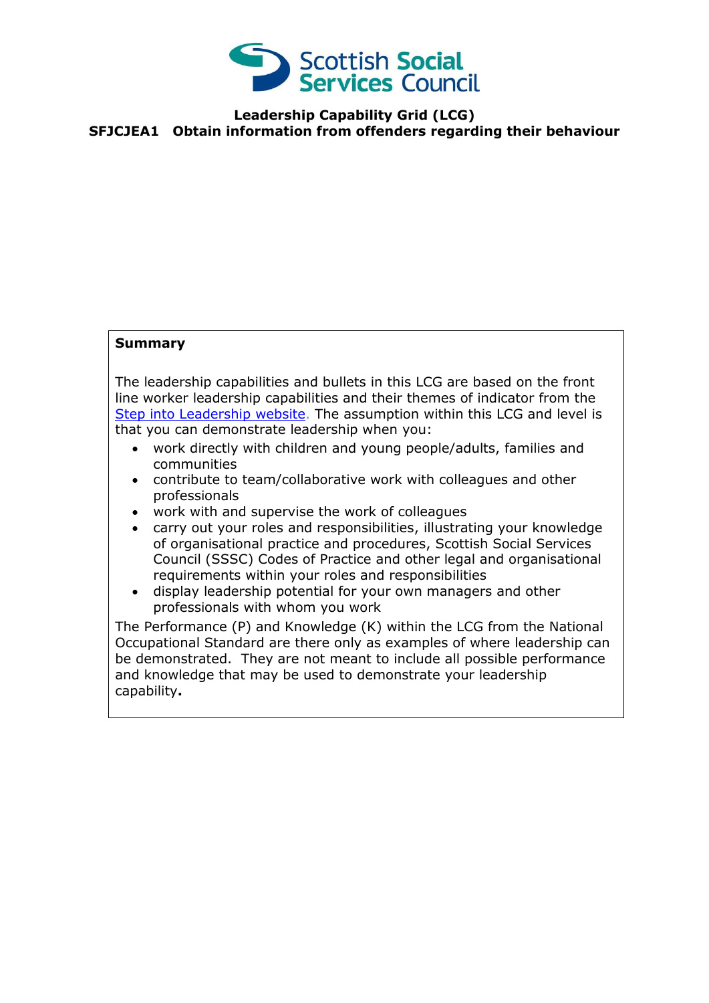

## **Leadership Capability Grid (LCG) SFJCJEA1 Obtain information from offenders regarding their behaviour**

## **Summary**

The leadership capabilities and bullets in this LCG are based on the front line worker leadership capabilities and their themes of indicator from the [Step into Leadership website.](http://www.stepintoleadership.info/) The assumption within this LCG and level is that you can demonstrate leadership when you:

- work directly with children and young people/adults, families and communities
- contribute to team/collaborative work with colleagues and other professionals
- work with and supervise the work of colleagues
- carry out your roles and responsibilities, illustrating your knowledge of organisational practice and procedures, Scottish Social Services Council (SSSC) Codes of Practice and other legal and organisational requirements within your roles and responsibilities
- display leadership potential for your own managers and other professionals with whom you work

The Performance (P) and Knowledge (K) within the LCG from the National Occupational Standard are there only as examples of where leadership can be demonstrated. They are not meant to include all possible performance and knowledge that may be used to demonstrate your leadership capability**.**